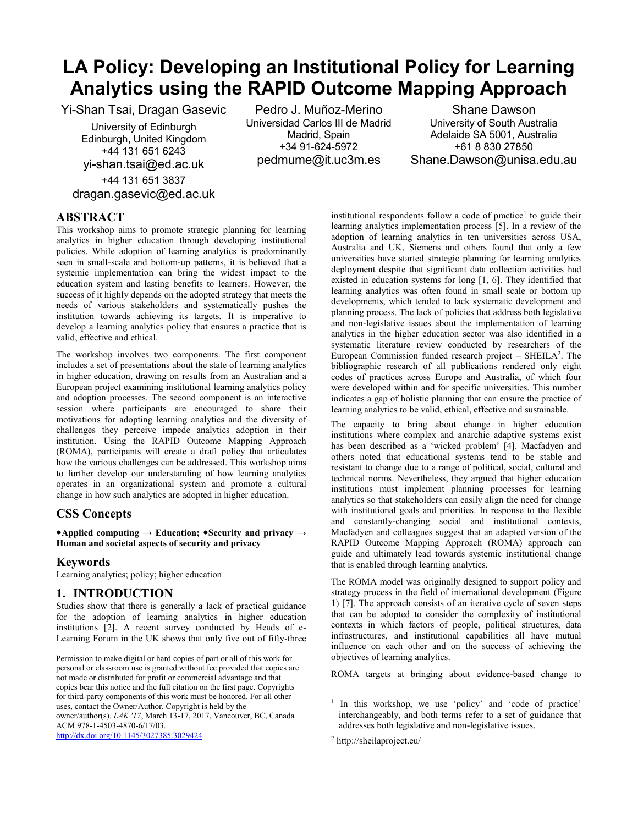# **LA Policy: Developing an Institutional Policy for Learning Analytics using the RAPID Outcome Mapping Approach**

Yi-Shan Tsai, Dragan Gasevic

University of Edinburgh Edinburgh, United Kingdom +44 131 651 6243 yi-shan.tsai@ed.ac.uk

+44 131 651 3837 dragan.gasevic@ed.ac.uk

Pedro J. Muñoz-Merino Universidad Carlos III de Madrid Madrid, Spain +34 91-624-5972 pedmume@it.uc3m.es

Shane Dawson University of South Australia Adelaide SA 5001, Australia +61 8 830 27850 Shane.Dawson@unisa.edu.au

# **ABSTRACT**

This workshop aims to promote strategic planning for learning analytics in higher education through developing institutional policies. While adoption of learning analytics is predominantly seen in small-scale and bottom-up patterns, it is believed that a systemic implementation can bring the widest impact to the education system and lasting benefits to learners. However, the success of it highly depends on the adopted strategy that meets the needs of various stakeholders and systematically pushes the institution towards achieving its targets. It is imperative to develop a learning analytics policy that ensures a practice that is valid, effective and ethical.

The workshop involves two components. The first component includes a set of presentations about the state of learning analytics in higher education, drawing on results from an Australian and a European project examining institutional learning analytics policy and adoption processes. The second component is an interactive session where participants are encouraged to share their motivations for adopting learning analytics and the diversity of challenges they perceive impede analytics adoption in their institution. Using the RAPID Outcome Mapping Approach (ROMA), participants will create a draft policy that articulates how the various challenges can be addressed. This workshop aims to further develop our understanding of how learning analytics operates in an organizational system and promote a cultural change in how such analytics are adopted in higher education.

# **CSS Concepts**

**Applied computing → Education; Security and privacy → Human and societal aspects of security and privacy** 

## **Keywords**

Learning analytics; policy; higher education

## **1. INTRODUCTION**

Studies show that there is generally a lack of practical guidance for the adoption of learning analytics in higher education institutions [2]. A recent survey conducted by Heads of e-Learning Forum in the UK shows that only five out of fifty-three

Permission to make digital or hard copies of part or all of this work for personal or classroom use is granted without fee provided that copies are not made or distributed for profit or commercial advantage and that copies bear this notice and the full citation on the first page. Copyrights for third-party components of this work must be honored. For all other uses, contact the Owner/Author. Copyright is held by the owner/author(s). *LAK '17*, March 13-17, 2017, Vancouver, BC, Canada ACM 978-1-4503-4870-6/17/03. <http://dx.doi.org/10.1145/3027385.3029424>

institutional respondents follow a code of practice<sup>1</sup> to guide their learning analytics implementation process [5]. In a review of the adoption of learning analytics in ten universities across USA, Australia and UK, Siemens and others found that only a few universities have started strategic planning for learning analytics deployment despite that significant data collection activities had existed in education systems for long [1, 6]. They identified that learning analytics was often found in small scale or bottom up developments, which tended to lack systematic development and planning process. The lack of policies that address both legislative and non-legislative issues about the implementation of learning analytics in the higher education sector was also identified in a systematic literature review conducted by researchers of the European Commission funded research project  $-$  SHEILA<sup>2</sup>. The bibliographic research of all publications rendered only eight codes of practices across Europe and Australia, of which four were developed within and for specific universities. This number indicates a gap of holistic planning that can ensure the practice of learning analytics to be valid, ethical, effective and sustainable.

The capacity to bring about change in higher education institutions where complex and anarchic adaptive systems exist has been described as a 'wicked problem' [4]. Macfadyen and others noted that educational systems tend to be stable and resistant to change due to a range of political, social, cultural and technical norms. Nevertheless, they argued that higher education institutions must implement planning processes for learning analytics so that stakeholders can easily align the need for change with institutional goals and priorities. In response to the flexible and constantly-changing social and institutional contexts, Macfadyen and colleagues suggest that an adapted version of the RAPID Outcome Mapping Approach (ROMA) approach can guide and ultimately lead towards systemic institutional change that is enabled through learning analytics.

The ROMA model was originally designed to support policy and strategy process in the field of international development [\(Figure](#page-1-0)  [1\)](#page-1-0) [7]. The approach consists of an iterative cycle of seven steps that can be adopted to consider the complexity of institutional contexts in which factors of people, political structures, data infrastructures, and institutional capabilities all have mutual influence on each other and on the success of achieving the objectives of learning analytics.

ROMA targets at bringing about evidence-based change to

l

<sup>&</sup>lt;sup>1</sup> In this workshop, we use 'policy' and 'code of practice' interchangeably, and both terms refer to a set of guidance that addresses both legislative and non-legislative issues.

<sup>2</sup> http://sheilaproject.eu/